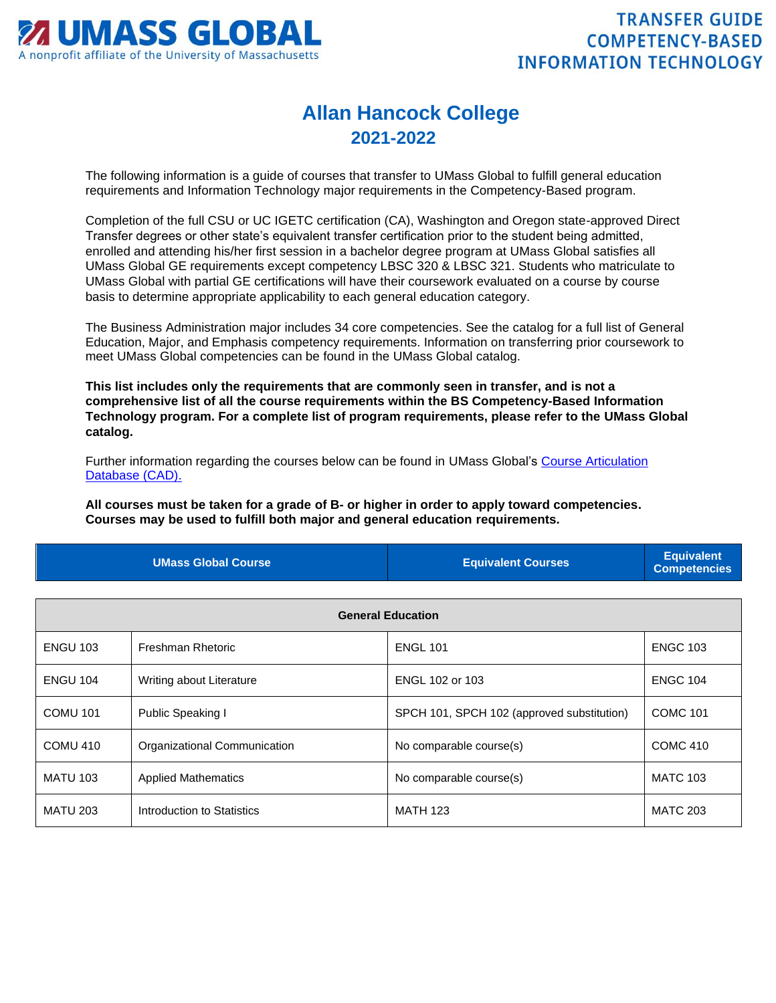

## **Allan Hancock College 2021-2022**

The following information is a guide of courses that transfer to UMass Global to fulfill general education requirements and Information Technology major requirements in the Competency-Based program.

Completion of the full CSU or UC IGETC certification (CA), Washington and Oregon state-approved Direct Transfer degrees or other state's equivalent transfer certification prior to the student being admitted, enrolled and attending his/her first session in a bachelor degree program at UMass Global satisfies all UMass Global GE requirements except competency LBSC 320 & LBSC 321. Students who matriculate to UMass Global with partial GE certifications will have their coursework evaluated on a course by course basis to determine appropriate applicability to each general education category.

The Business Administration major includes 34 core competencies. See the catalog for a full list of General Education, Major, and Emphasis competency requirements. Information on transferring prior coursework to meet UMass Global competencies can be found in the UMass Global catalog.

**This list includes only the requirements that are commonly seen in transfer, and is not a comprehensive list of all the course requirements within the BS Competency-Based Information Technology program. For a complete list of program requirements, please refer to the UMass Global catalog.**

Further information regarding the courses below can be found in UMass Global's [Course Articulation](http://services.umassglobal.edu/studentservices/TransferCredit/)  [Database \(CAD\).](http://services.umassglobal.edu/studentservices/TransferCredit/) 

**All courses must be taken for a grade of B- or higher in order to apply toward competencies. Courses may be used to fulfill both major and general education requirements.** 

| <b>UMass Global Course</b> | <b>Equivalent Courses</b> | <b>Equivalent</b><br>Competencies |
|----------------------------|---------------------------|-----------------------------------|
|                            |                           |                                   |

| <b>General Education</b> |                              |                                            |                 |  |
|--------------------------|------------------------------|--------------------------------------------|-----------------|--|
| <b>ENGU 103</b>          | Freshman Rhetoric            | <b>ENGL 101</b>                            | <b>ENGC 103</b> |  |
| <b>ENGU 104</b>          | Writing about Literature     | ENGL 102 or 103                            | <b>ENGC 104</b> |  |
| <b>COMU 101</b>          | Public Speaking I            | SPCH 101, SPCH 102 (approved substitution) | <b>COMC 101</b> |  |
| <b>COMU 410</b>          | Organizational Communication | No comparable course(s)                    | <b>COMC 410</b> |  |
| <b>MATU 103</b>          | <b>Applied Mathematics</b>   | No comparable course(s)                    | <b>MATC 103</b> |  |
| <b>MATU 203</b>          | Introduction to Statistics   | <b>MATH 123</b>                            | <b>MATC 203</b> |  |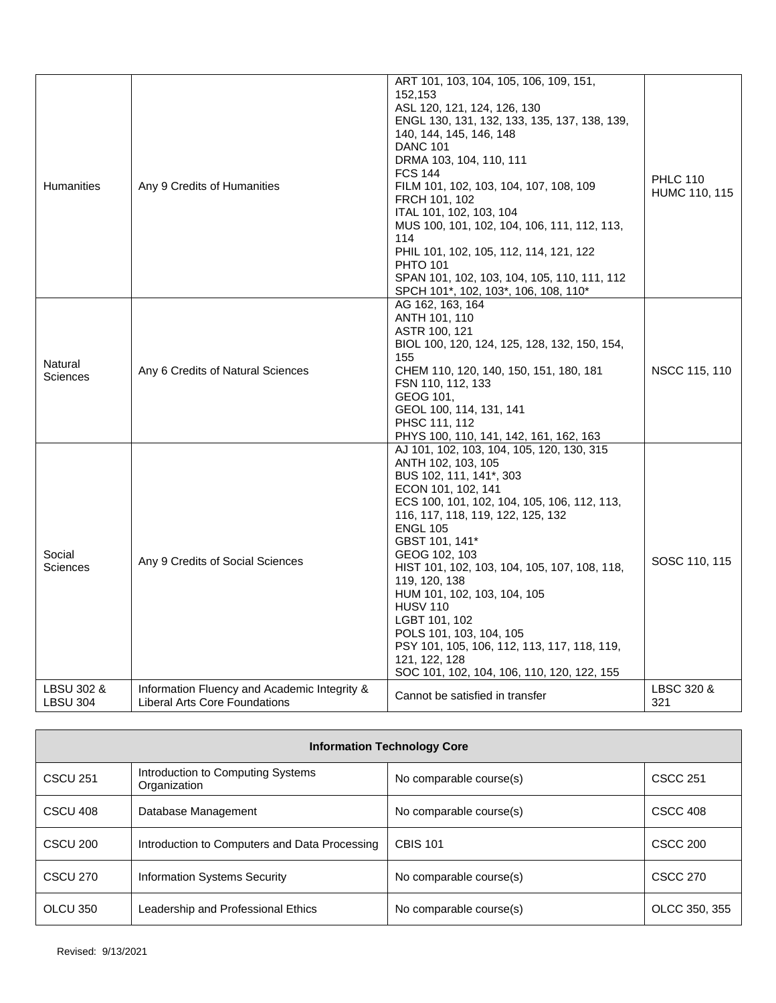| Humanities                    | Any 9 Credits of Humanities                                                          | ART 101, 103, 104, 105, 106, 109, 151,<br>152,153<br>ASL 120, 121, 124, 126, 130<br>ENGL 130, 131, 132, 133, 135, 137, 138, 139,<br>140, 144, 145, 146, 148<br><b>DANC 101</b><br>DRMA 103, 104, 110, 111<br><b>FCS 144</b><br>FILM 101, 102, 103, 104, 107, 108, 109<br>FRCH 101, 102<br>ITAL 101, 102, 103, 104<br>MUS 100, 101, 102, 104, 106, 111, 112, 113,<br>114<br>PHIL 101, 102, 105, 112, 114, 121, 122                                                                                                                       | <b>PHLC 110</b><br>HUMC 110, 115 |
|-------------------------------|--------------------------------------------------------------------------------------|-----------------------------------------------------------------------------------------------------------------------------------------------------------------------------------------------------------------------------------------------------------------------------------------------------------------------------------------------------------------------------------------------------------------------------------------------------------------------------------------------------------------------------------------|----------------------------------|
|                               |                                                                                      | <b>PHTO 101</b><br>SPAN 101, 102, 103, 104, 105, 110, 111, 112<br>SPCH 101*, 102, 103*, 106, 108, 110*                                                                                                                                                                                                                                                                                                                                                                                                                                  |                                  |
| Natural<br><b>Sciences</b>    | Any 6 Credits of Natural Sciences                                                    | AG 162, 163, 164<br>ANTH 101, 110<br>ASTR 100, 121<br>BIOL 100, 120, 124, 125, 128, 132, 150, 154,<br>155<br>CHEM 110, 120, 140, 150, 151, 180, 181<br>FSN 110, 112, 133<br>GEOG 101,<br>GEOL 100, 114, 131, 141<br>PHSC 111, 112<br>PHYS 100, 110, 141, 142, 161, 162, 163                                                                                                                                                                                                                                                             | NSCC 115, 110                    |
| Social<br><b>Sciences</b>     | Any 9 Credits of Social Sciences                                                     | AJ 101, 102, 103, 104, 105, 120, 130, 315<br>ANTH 102, 103, 105<br>BUS 102, 111, 141*, 303<br>ECON 101, 102, 141<br>ECS 100, 101, 102, 104, 105, 106, 112, 113,<br>116, 117, 118, 119, 122, 125, 132<br><b>ENGL 105</b><br>GBST 101, 141*<br>GEOG 102, 103<br>HIST 101, 102, 103, 104, 105, 107, 108, 118,<br>119, 120, 138<br>HUM 101, 102, 103, 104, 105<br><b>HUSV 110</b><br>LGBT 101, 102<br>POLS 101, 103, 104, 105<br>PSY 101, 105, 106, 112, 113, 117, 118, 119,<br>121, 122, 128<br>SOC 101, 102, 104, 106, 110, 120, 122, 155 | SOSC 110, 115                    |
| LBSU 302 &<br><b>LBSU 304</b> | Information Fluency and Academic Integrity &<br><b>Liberal Arts Core Foundations</b> | Cannot be satisfied in transfer                                                                                                                                                                                                                                                                                                                                                                                                                                                                                                         | LBSC 320 &<br>321                |

| <b>Information Technology Core</b> |                                                   |                         |                 |  |
|------------------------------------|---------------------------------------------------|-------------------------|-----------------|--|
| <b>CSCU 251</b>                    | Introduction to Computing Systems<br>Organization | No comparable course(s) | <b>CSCC 251</b> |  |
| CSCU 408                           | Database Management                               | No comparable course(s) | <b>CSCC 408</b> |  |
| CSCU 200                           | Introduction to Computers and Data Processing     | <b>CBIS 101</b>         | <b>CSCC 200</b> |  |
| <b>CSCU 270</b>                    | <b>Information Systems Security</b>               | No comparable course(s) | <b>CSCC 270</b> |  |
| OLCU 350                           | Leadership and Professional Ethics                | No comparable course(s) | OLCC 350, 355   |  |